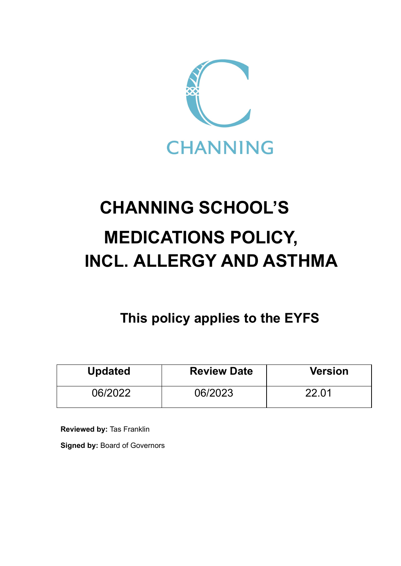

# **CHANNING SCHOOL'S MEDICATIONS POLICY, INCL. ALLERGY AND ASTHMA**

**This policy applies to the EYFS**

| <b>Updated</b> | <b>Review Date</b> | <b>Version</b> |
|----------------|--------------------|----------------|
| 06/2022        | 06/2023            | 22 Q1          |

**Reviewed by:** Tas Franklin

**Signed by:** Board of Governors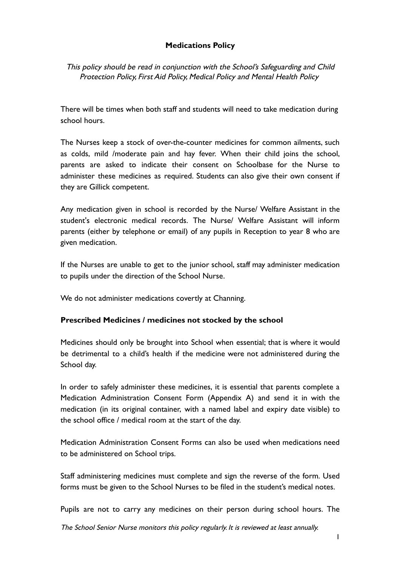## **Medications Policy**

This policy should be read in conjunction with the School's Safeguarding and Child Protection Policy, First Aid Policy, Medical Policy and Mental Health Policy

There will be times when both staff and students will need to take medication during school hours.

The Nurses keep a stock of over-the-counter medicines for common ailments, such as colds, mild /moderate pain and hay fever. When their child joins the school, parents are asked to indicate their consent on Schoolbase for the Nurse to administer these medicines as required. Students can also give their own consent if they are Gillick competent.

Any medication given in school is recorded by the Nurse/ Welfare Assistant in the student's electronic medical records. The Nurse/ Welfare Assistant will inform parents (either by telephone or email) of any pupils in Reception to year 8 who are given medication.

If the Nurses are unable to get to the junior school, staff may administer medication to pupils under the direction of the School Nurse.

We do not administer medications covertly at Channing.

#### **Prescribed Medicines / medicines not stocked by the school**

Medicines should only be brought into School when essential; that is where it would be detrimental to a child's health if the medicine were not administered during the School day.

In order to safely administer these medicines, it is essential that parents complete a Medication Administration Consent Form (Appendix A) and send it in with the medication (in its original container, with a named label and expiry date visible) to the school office / medical room at the start of the day.

Medication Administration Consent Forms can also be used when medications need to be administered on School trips.

Staff administering medicines must complete and sign the reverse of the form. Used forms must be given to the School Nurses to be filed in the student's medical notes.

Pupils are not to carry any medicines on their person during school hours. The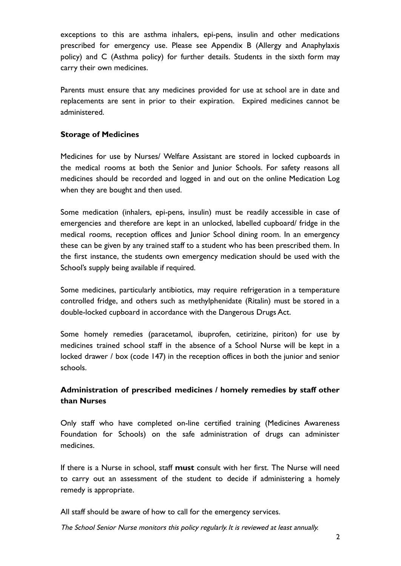exceptions to this are asthma inhalers, epi-pens, insulin and other medications prescribed for emergency use. Please see Appendix B (Allergy and Anaphylaxis policy) and C (Asthma policy) for further details. Students in the sixth form may carry their own medicines.

Parents must ensure that any medicines provided for use at school are in date and replacements are sent in prior to their expiration. Expired medicines cannot be administered.

## **Storage of Medicines**

Medicines for use by Nurses/ Welfare Assistant are stored in locked cupboards in the medical rooms at both the Senior and Junior Schools. For safety reasons all medicines should be recorded and logged in and out on the online Medication Log when they are bought and then used.

Some medication (inhalers, epi-pens, insulin) must be readily accessible in case of emergencies and therefore are kept in an unlocked, labelled cupboard/ fridge in the medical rooms, reception offices and Junior School dining room. In an emergency these can be given by any trained staff to a student who has been prescribed them. In the first instance, the students own emergency medication should be used with the School's supply being available if required.

Some medicines, particularly antibiotics, may require refrigeration in a temperature controlled fridge, and others such as methylphenidate (Ritalin) must be stored in a double-locked cupboard in accordance with the Dangerous Drugs Act.

Some homely remedies (paracetamol, ibuprofen, cetirizine, piriton) for use by medicines trained school staff in the absence of a School Nurse will be kept in a locked drawer / box (code 147) in the reception offices in both the junior and senior schools.

# **Administration of prescribed medicines / homely remedies by staff other than Nurses**

Only staff who have completed on-line certified training (Medicines Awareness Foundation for Schools) on the safe administration of drugs can administer medicines.

If there is a Nurse in school, staff **must** consult with her first. The Nurse will need to carry out an assessment of the student to decide if administering a homely remedy is appropriate.

All staff should be aware of how to call for the emergency services.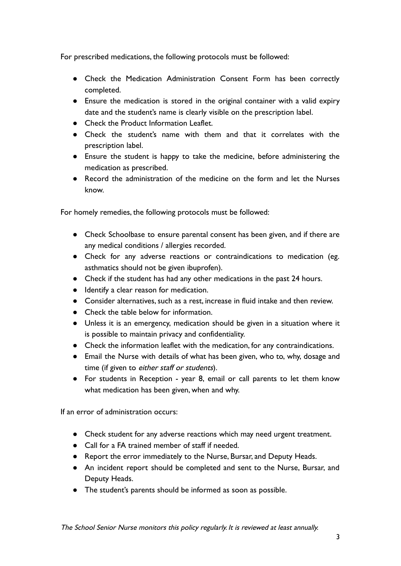For prescribed medications, the following protocols must be followed:

- Check the Medication Administration Consent Form has been correctly completed.
- Ensure the medication is stored in the original container with a valid expiry date and the student's name is clearly visible on the prescription label.
- Check the Product Information Leaflet.
- Check the student's name with them and that it correlates with the prescription label.
- Ensure the student is happy to take the medicine, before administering the medication as prescribed.
- Record the administration of the medicine on the form and let the Nurses know.

For homely remedies, the following protocols must be followed:

- Check Schoolbase to ensure parental consent has been given, and if there are any medical conditions / allergies recorded.
- Check for any adverse reactions or contraindications to medication (eg. asthmatics should not be given ibuprofen).
- Check if the student has had any other medications in the past 24 hours.
- Identify a clear reason for medication.
- Consider alternatives, such as a rest, increase in fluid intake and then review.
- Check the table below for information.
- Unless it is an emergency, medication should be given in a situation where it is possible to maintain privacy and confidentiality.
- Check the information leaflet with the medication, for any contraindications.
- Email the Nurse with details of what has been given, who to, why, dosage and time (if given to either staff or students).
- For students in Reception year 8, email or call parents to let them know what medication has been given, when and why.

If an error of administration occurs:

- Check student for any adverse reactions which may need urgent treatment.
- Call for a FA trained member of staff if needed.
- Report the error immediately to the Nurse, Bursar, and Deputy Heads.
- An incident report should be completed and sent to the Nurse, Bursar, and Deputy Heads.
- The student's parents should be informed as soon as possible.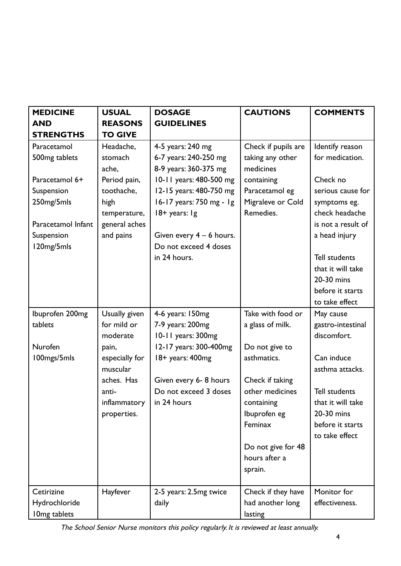| <b>MEDICINE</b>           | <b>USUAL</b>   | <b>DOSAGE</b>              | <b>CAUTIONS</b>     | <b>COMMENTS</b>      |
|---------------------------|----------------|----------------------------|---------------------|----------------------|
| <b>AND</b>                | <b>REASONS</b> | <b>GUIDELINES</b>          |                     |                      |
| <b>STRENGTHS</b>          | <b>TO GIVE</b> |                            |                     |                      |
| Paracetamol               | Headache,      | 4-5 years: 240 mg          | Check if pupils are | Identify reason      |
| 500 <sub>mg</sub> tablets | stomach        | 6-7 years: 240-250 mg      | taking any other    | for medication.      |
|                           | ache,          | 8-9 years: 360-375 mg      | medicines           |                      |
| Paracetamol 6+            | Period pain,   | 10-11 years: 480-500 mg    | containing          | Check no             |
| Suspension                | toothache,     | 12-15 years: 480-750 mg    | Paracetamol eg      | serious cause for    |
| 250mg/5mls                | high           | 16-17 years: 750 mg - 1g   | Migraleve or Cold   | symptoms eg.         |
|                           | temperature,   | $18 + \text{ years: }$     | Remedies.           | check headache       |
| Paracetamol Infant        | general aches  |                            |                     | is not a result of   |
| Suspension                | and pains      | Given every $4 - 6$ hours. |                     | a head injury        |
| 120mg/5mls                |                | Do not exceed 4 doses      |                     |                      |
|                           |                | in 24 hours.               |                     | <b>Tell students</b> |
|                           |                |                            |                     | that it will take    |
|                           |                |                            |                     | 20-30 mins           |
|                           |                |                            |                     | before it starts     |
|                           |                |                            |                     | to take effect       |
| Ibuprofen 200mg           | Usually given  | 4-6 years: 150mg           | Take with food or   | May cause            |
| tablets                   | for mild or    | 7-9 years: 200mg           | a glass of milk.    | gastro-intestinal    |
|                           | moderate       | 10-11 years: 300mg         |                     | discomfort.          |
| Nurofen                   | pain,          | 12-17 years: 300-400mg     | Do not give to      |                      |
| 100mgs/5mls               | especially for | 18+ years: 400mg           | asthmatics.         | Can induce           |
|                           | muscular       |                            |                     | asthma attacks.      |
|                           | aches. Has     | Given every 6-8 hours      | Check if taking     |                      |
|                           | anti-          | Do not exceed 3 doses      | other medicines     | <b>Tell students</b> |
|                           | inflammatory   | in 24 hours                | containing          | that it will take    |
|                           | properties.    |                            | Ibuprofen eg        | 20-30 mins           |
|                           |                |                            | Feminax             | before it starts     |
|                           |                |                            |                     | to take effect       |
|                           |                |                            | Do not give for 48  |                      |
|                           |                |                            | hours after a       |                      |
|                           |                |                            | sprain.             |                      |
| Cetirizine                | Hayfever       | 2-5 years: 2.5mg twice     | Check if they have  | Monitor for          |
| Hydrochloride             |                | daily                      | had another long    | effectiveness.       |
| I 0mg tablets             |                |                            | lasting             |                      |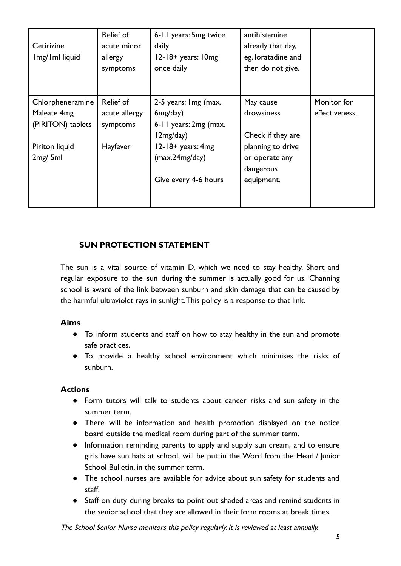| Cetirizine<br>Img/Iml liquid | Relief of<br>acute minor<br>allergy<br>symptoms | 6-11 years: 5mg twice<br>daily<br>$12-18+$ years: $10mg$<br>once daily | antihistamine<br>already that day,<br>eg. loratadine and<br>then do not give. |                |
|------------------------------|-------------------------------------------------|------------------------------------------------------------------------|-------------------------------------------------------------------------------|----------------|
| Chlorpheneramine             | Relief of                                       | 2-5 years: Img (max.                                                   | May cause                                                                     | Monitor for    |
| Maleate 4mg                  | acute allergy                                   | 6mg/day)                                                               | drowsiness                                                                    | effectiveness. |
| (PIRITON) tablets            | symptoms                                        | 6-11 years: 2mg (max.                                                  |                                                                               |                |
|                              |                                                 | 12mg/day)                                                              | Check if they are                                                             |                |
| Piriton liquid               | Hayfever                                        | $12-18+$ years: $4mg$                                                  | planning to drive                                                             |                |
| 2mg/5ml                      |                                                 | (max.24mg/day)                                                         | or operate any                                                                |                |
|                              |                                                 |                                                                        | dangerous                                                                     |                |
|                              |                                                 | Give every 4-6 hours                                                   | equipment.                                                                    |                |
|                              |                                                 |                                                                        |                                                                               |                |

# **SUN PROTECTION STATEMENT**

The sun is a vital source of vitamin D, which we need to stay healthy. Short and regular exposure to the sun during the summer is actually good for us. Channing school is aware of the link between sunburn and skin damage that can be caused by the harmful ultraviolet rays in sunlight.This policy is a response to that link.

#### **Aims**

- To inform students and staff on how to stay healthy in the sun and promote safe practices.
- To provide a healthy school environment which minimises the risks of sunburn.

## **Actions**

- Form tutors will talk to students about cancer risks and sun safety in the summer term.
- There will be information and health promotion displayed on the notice board outside the medical room during part of the summer term.
- Information reminding parents to apply and supply sun cream, and to ensure girls have sun hats at school, will be put in the Word from the Head / Junior School Bulletin, in the summer term.
- The school nurses are available for advice about sun safety for students and staff.
- Staff on duty during breaks to point out shaded areas and remind students in the senior school that they are allowed in their form rooms at break times.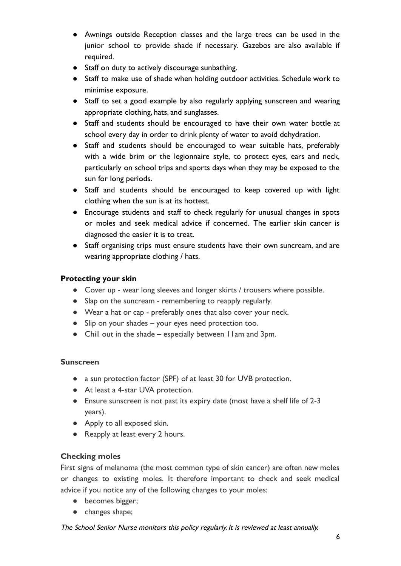- Awnings outside Reception classes and the large trees can be used in the junior school to provide shade if necessary. Gazebos are also available if required.
- Staff on duty to actively discourage sunbathing.
- Staff to make use of shade when holding outdoor activities. Schedule work to minimise exposure.
- Staff to set a good example by also regularly applying sunscreen and wearing appropriate clothing, hats, and sunglasses.
- Staff and students should be encouraged to have their own water bottle at school every day in order to drink plenty of water to avoid dehydration.
- Staff and students should be encouraged to wear suitable hats, preferably with a wide brim or the legionnaire style, to protect eyes, ears and neck, particularly on school trips and sports days when they may be exposed to the sun for long periods.
- Staff and students should be encouraged to keep covered up with light clothing when the sun is at its hottest.
- Encourage students and staff to check regularly for unusual changes in spots or moles and seek medical advice if concerned. The earlier skin cancer is diagnosed the easier it is to treat.
- Staff organising trips must ensure students have their own suncream, and are wearing appropriate clothing / hats.

## **Protecting your skin**

- Cover up wear long sleeves and longer skirts / trousers where possible.
- Slap on the suncream remembering to reapply regularly.
- Wear a hat or cap preferably ones that also cover your neck.
- Slip on your shades your eyes need protection too.
- Chill out in the shade especially between 11am and 3pm.

## **Sunscreen**

- a sun protection factor (SPF) of at least 30 for UVB protection.
- At least a 4-star UVA protection.
- Ensure sunscreen is not past its expiry date (most have a shelf life of 2-3 years).
- Apply to all exposed skin.
- Reapply at least every 2 hours.

## **Checking moles**

First signs of melanoma (the most common type of skin cancer) are often new moles or changes to existing moles. It therefore important to check and seek medical advice if you notice any of the following changes to your moles:

- becomes bigger;
- changes shape;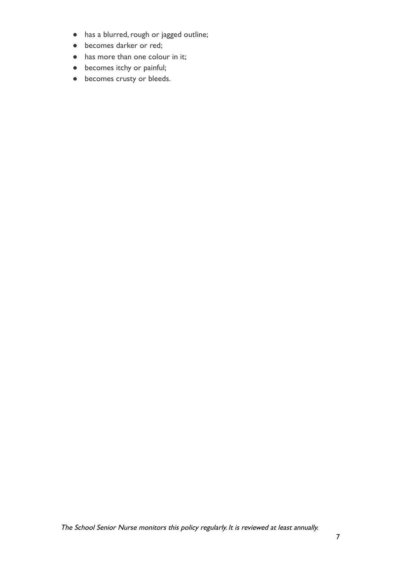- has a blurred, rough or jagged outline;
- becomes darker or red;
- has more than one colour in it;
- becomes itchy or painful;
- becomes crusty or bleeds.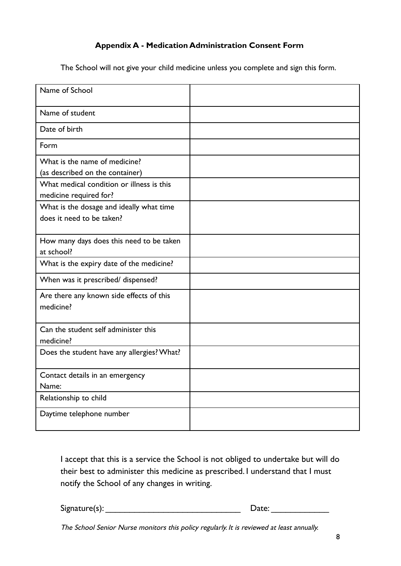# **Appendix A - Medication Administration Consent Form**

The School will not give your child medicine unless you complete and sign this form.

| Name of School                                                        |  |
|-----------------------------------------------------------------------|--|
| Name of student                                                       |  |
| Date of birth                                                         |  |
| Form                                                                  |  |
| What is the name of medicine?<br>(as described on the container)      |  |
| What medical condition or illness is this<br>medicine required for?   |  |
| What is the dosage and ideally what time<br>does it need to be taken? |  |
| How many days does this need to be taken<br>at school?                |  |
| What is the expiry date of the medicine?                              |  |
| When was it prescribed/ dispensed?                                    |  |
| Are there any known side effects of this<br>medicine?                 |  |
| Can the student self administer this<br>medicine?                     |  |
| Does the student have any allergies? What?                            |  |
| Contact details in an emergency<br>Name:                              |  |
| Relationship to child                                                 |  |
| Daytime telephone number                                              |  |

I accept that this is a service the School is not obliged to undertake but will do their best to administer this medicine as prescribed. I understand that I must notify the School of any changes in writing.

Signature(s): \_\_\_\_\_\_\_\_\_\_\_\_\_\_\_\_\_\_\_\_\_\_\_\_\_\_\_\_ Date: \_\_\_\_\_\_\_\_\_\_\_\_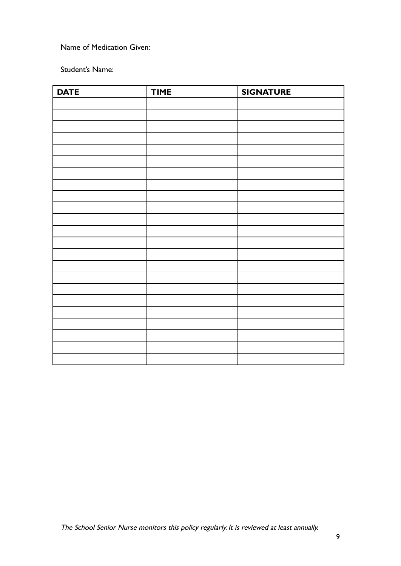Name of Medication Given:

Student's Name:

| <b>DATE</b> | <b>TIME</b> | <b>SIGNATURE</b> |
|-------------|-------------|------------------|
|             |             |                  |
|             |             |                  |
|             |             |                  |
|             |             |                  |
|             |             |                  |
|             |             |                  |
|             |             |                  |
|             |             |                  |
|             |             |                  |
|             |             |                  |
|             |             |                  |
|             |             |                  |
|             |             |                  |
|             |             |                  |
|             |             |                  |
|             |             |                  |
|             |             |                  |
|             |             |                  |
|             |             |                  |
|             |             |                  |
|             |             |                  |
|             |             |                  |
|             |             |                  |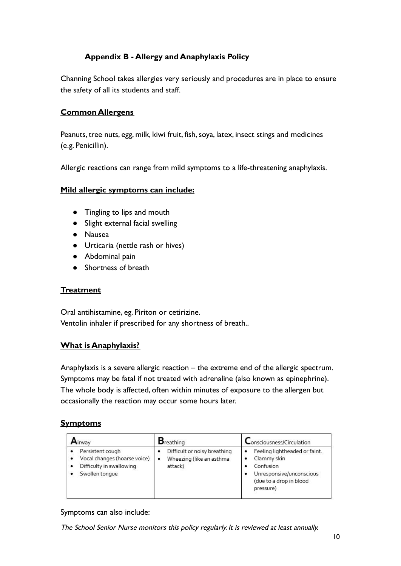# **Appendix B - Allergy and Anaphylaxis Policy**

Channing School takes allergies very seriously and procedures are in place to ensure the safety of all its students and staff.

## **Common Allergens**

Peanuts, tree nuts, egg, milk, kiwi fruit, fish, soya, latex, insect stings and medicines (e.g. Penicillin).

Allergic reactions can range from mild symptoms to a life-threatening anaphylaxis.

#### **Mild allergic symptoms can include:**

- Tingling to lips and mouth
- Slight external facial swelling
- Nausea
- Urticaria (nettle rash or hives)
- Abdominal pain
- Shortness of breath

#### **Treatment**

Oral antihistamine, eg. Piriton or cetirizine. Ventolin inhaler if prescribed for any shortness of breath..

#### **What is Anaphylaxis?**

Anaphylaxis is a severe allergic reaction – the extreme end of the allergic spectrum. Symptoms may be fatal if not treated with adrenaline (also known as epinephrine). The whole body is affected, often within minutes of exposure to the allergen but occasionally the reaction may occur some hours later.

## **Symptoms**

| Airway                                                                                         | $B_{\text{reathing}}$                                                    | Consciousness/Circulation                                                                                                     |
|------------------------------------------------------------------------------------------------|--------------------------------------------------------------------------|-------------------------------------------------------------------------------------------------------------------------------|
| Persistent cough<br>Vocal changes (hoarse voice)<br>Difficulty in swallowing<br>Swollen tonque | Difficult or noisy breathing<br>Wheezing (like an asthma<br>٠<br>attack) | Feeling lightheaded or faint.<br>Clammy skin<br>Confusion<br>Unresponsive/unconscious<br>(due to a drop in blood<br>pressure) |

#### Symptoms can also include: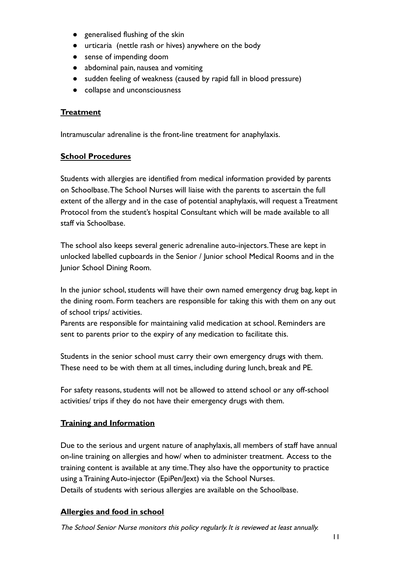- generalised flushing of the skin
- urticaria (nettle rash or hives) anywhere on the body
- sense of impending doom
- abdominal pain, nausea and vomiting
- sudden feeling of weakness (caused by rapid fall in blood pressure)
- collapse and unconsciousness

## **Treatment**

Intramuscular adrenaline is the front-line treatment for anaphylaxis.

#### **School Procedures**

Students with allergies are identified from medical information provided by parents on Schoolbase.The School Nurses will liaise with the parents to ascertain the full extent of the allergy and in the case of potential anaphylaxis, will request a Treatment Protocol from the student's hospital Consultant which will be made available to all staff via Schoolbase.

The school also keeps several generic adrenaline auto-injectors.These are kept in unlocked labelled cupboards in the Senior / Junior school Medical Rooms and in the Junior School Dining Room.

In the junior school, students will have their own named emergency drug bag, kept in the dining room. Form teachers are responsible for taking this with them on any out of school trips/ activities.

Parents are responsible for maintaining valid medication at school. Reminders are sent to parents prior to the expiry of any medication to facilitate this.

Students in the senior school must carry their own emergency drugs with them. These need to be with them at all times, including during lunch, break and PE.

For safety reasons, students will not be allowed to attend school or any off-school activities/ trips if they do not have their emergency drugs with them.

## **Training and Information**

Due to the serious and urgent nature of anaphylaxis, all members of staff have annual on-line training on allergies and how/ when to administer treatment. Access to the training content is available at any time.They also have the opportunity to practice using a Training Auto-injector (EpiPen/Jext) via the School Nurses. Details of students with serious allergies are available on the Schoolbase.

#### **Allergies and food in school**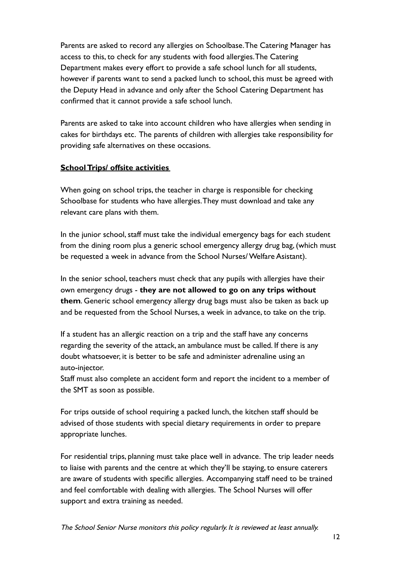Parents are asked to record any allergies on Schoolbase.The Catering Manager has access to this, to check for any students with food allergies.The Catering Department makes every effort to provide a safe school lunch for all students, however if parents want to send a packed lunch to school, this must be agreed with the Deputy Head in advance and only after the School Catering Department has confirmed that it cannot provide a safe school lunch.

Parents are asked to take into account children who have allergies when sending in cakes for birthdays etc. The parents of children with allergies take responsibility for providing safe alternatives on these occasions.

## **School Trips/ offsite activities**

When going on school trips, the teacher in charge is responsible for checking Schoolbase for students who have allergies.They must download and take any relevant care plans with them.

In the junior school, staff must take the individual emergency bags for each student from the dining room plus a generic school emergency allergy drug bag, (which must be requested a week in advance from the School Nurses/ Welfare Asistant).

In the senior school, teachers must check that any pupils with allergies have their own emergency drugs - **they are not allowed to go on any trips without them**. Generic school emergency allergy drug bags must also be taken as back up and be requested from the School Nurses, a week in advance, to take on the trip.

If a student has an allergic reaction on a trip and the staff have any concerns regarding the severity of the attack, an ambulance must be called. If there is any doubt whatsoever, it is better to be safe and administer adrenaline using an auto-injector.

Staff must also complete an accident form and report the incident to a member of the SMT as soon as possible.

For trips outside of school requiring a packed lunch, the kitchen staff should be advised of those students with special dietary requirements in order to prepare appropriate lunches.

For residential trips, planning must take place well in advance. The trip leader needs to liaise with parents and the centre at which they'll be staying, to ensure caterers are aware of students with specific allergies. Accompanying staff need to be trained and feel comfortable with dealing with allergies. The School Nurses will offer support and extra training as needed.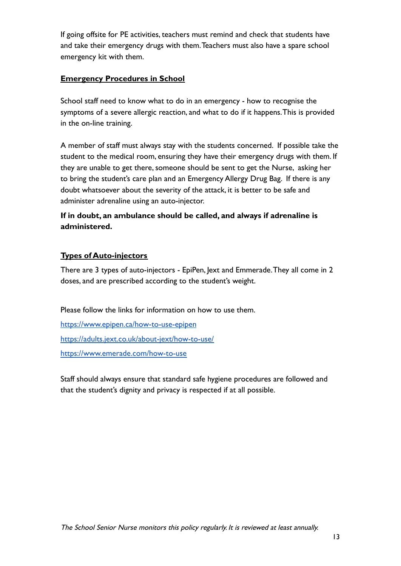If going offsite for PE activities, teachers must remind and check that students have and take their emergency drugs with them.Teachers must also have a spare school emergency kit with them.

## **Emergency Procedures in School**

School staff need to know what to do in an emergency - how to recognise the symptoms of a severe allergic reaction, and what to do if it happens.This is provided in the on-line training.

A member of staff must always stay with the students concerned. If possible take the student to the medical room, ensuring they have their emergency drugs with them. If they are unable to get there, someone should be sent to get the Nurse, asking her to bring the student's care plan and an Emergency Allergy Drug Bag. If there is any doubt whatsoever about the severity of the attack, it is better to be safe and administer adrenaline using an auto-injector.

# **If in doubt, an ambulance should be called, and always if adrenaline is administered.**

## **Types of Auto-injectors**

There are 3 types of auto-injectors - EpiPen, Jext and Emmerade.They all come in 2 doses, and are prescribed according to the student's weight.

Please follow the links for information on how to use them.

<https://www.epipen.ca/how-to-use-epipen> <https://adults.jext.co.uk/about-jext/how-to-use/> <https://www.emerade.com/how-to-use>

Staff should always ensure that standard safe hygiene procedures are followed and that the student's dignity and privacy is respected if at all possible.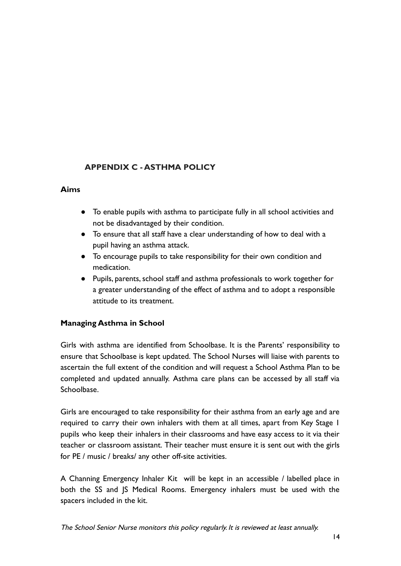# **APPENDIX C - ASTHMA POLICY**

#### **Aims**

- To enable pupils with asthma to participate fully in all school activities and not be disadvantaged by their condition.
- To ensure that all staff have a clear understanding of how to deal with a pupil having an asthma attack.
- To encourage pupils to take responsibility for their own condition and medication.
- Pupils, parents, school staff and asthma professionals to work together for a greater understanding of the effect of asthma and to adopt a responsible attitude to its treatment.

## **Managing Asthma in School**

Girls with asthma are identified from Schoolbase. It is the Parents' responsibility to ensure that Schoolbase is kept updated. The School Nurses will liaise with parents to ascertain the full extent of the condition and will request a School Asthma Plan to be completed and updated annually. Asthma care plans can be accessed by all staff via Schoolbase.

Girls are encouraged to take responsibility for their asthma from an early age and are required to carry their own inhalers with them at all times, apart from Key Stage 1 pupils who keep their inhalers in their classrooms and have easy access to it via their teacher or classroom assistant. Their teacher must ensure it is sent out with the girls for PE / music / breaks/ any other off-site activities.

A Channing Emergency Inhaler Kit will be kept in an accessible / labelled place in both the SS and JS Medical Rooms. Emergency inhalers must be used with the spacers included in the kit.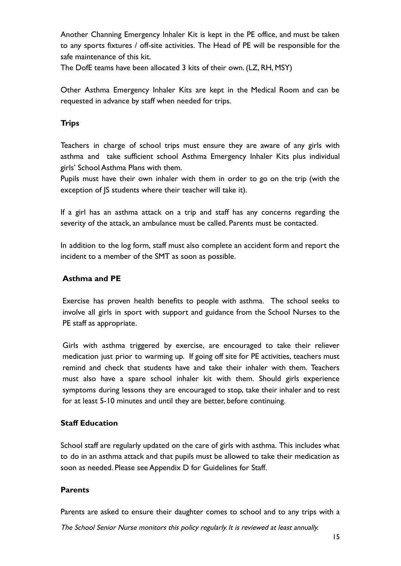Another Channing Emergency Inhaler Kit is kept in the PE office, and must be taken to any sports fixtures / off-site activities. The Head of PE will be responsible for the safe maintenance of this kit.

The DofE teams have been allocated 3 kits of their own. (LZ, RH, MSY)

Other Asthma Emergency Inhaler Kits are kept in the Medical Room and can be requested in advance by staff when needed for trips.

## **Trips**

Teachers in charge of school trips must ensure they are aware of any girls with asthma and take sufficient school Asthma Emergency Inhaler Kits plus individual girls' School Asthma Plans with them.

Pupils must have their own inhaler with them in order to go on the trip (with the exception of JS students where their teacher will take it).

If a girl has an asthma attack on a trip and staff has any concerns regarding the severity of the attack, an ambulance must be called. Parents must be contacted.

In addition to the log form, staff must also complete an accident form and report the incident to a member of the SMT as soon as possible.

#### **Asthma and PE**

Exercise has proven health benefits to people with asthma. The school seeks to involve all girls in sport with support and guidance from the School Nurses to the PE staff as appropriate.

Girls with asthma triggered by exercise, are encouraged to take their reliever medication just prior to warming up. If going off site for PE activities, teachers must remind and check that students have and take their inhaler with them. Teachers must also have a spare school inhaler kit with them. Should girls experience symptoms during lessons they are encouraged to stop, take their inhaler and to rest for at least 5-10 minutes and until they are better, before continuing.

#### **Staff Education**

School staff are regularly updated on the care of girls with asthma. This includes what to do in an asthma attack and that pupils must be allowed to take their medication as soon as needed. Please see Appendix D for Guidelines for Staff.

#### **Parents**

Parents are asked to ensure their daughter comes to school and to any trips with a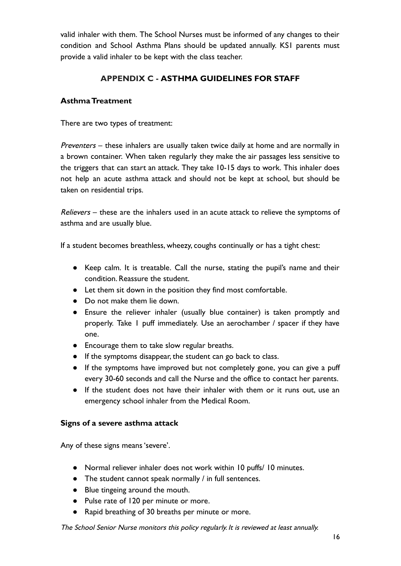valid inhaler with them. The School Nurses must be informed of any changes to their condition and School Asthma Plans should be updated annually. KS1 parents must provide a valid inhaler to be kept with the class teacher.

# **APPENDIX C - ASTHMA GUIDELINES FOR STAFF**

## **Asthma Treatment**

There are two types of treatment:

Preventers – these inhalers are usually taken twice daily at home and are normally in a brown container. When taken regularly they make the air passages less sensitive to the triggers that can start an attack. They take 10-15 days to work. This inhaler does not help an acute asthma attack and should not be kept at school, but should be taken on residential trips.

Relievers – these are the inhalers used in an acute attack to relieve the symptoms of asthma and are usually blue.

If a student becomes breathless, wheezy, coughs continually or has a tight chest:

- Keep calm. It is treatable. Call the nurse, stating the pupil's name and their condition. Reassure the student.
- Let them sit down in the position they find most comfortable.
- Do not make them lie down.
- Ensure the reliever inhaler (usually blue container) is taken promptly and properly. Take 1 puff immediately. Use an aerochamber / spacer if they have one.
- Encourage them to take slow regular breaths.
- If the symptoms disappear, the student can go back to class.
- If the symptoms have improved but not completely gone, you can give a puff every 30-60 seconds and call the Nurse and the office to contact her parents.
- If the student does not have their inhaler with them or it runs out, use an emergency school inhaler from the Medical Room.

#### **Signs of a severe asthma attack**

Any of these signs means 'severe'.

- Normal reliever inhaler does not work within 10 puffs/ 10 minutes.
- The student cannot speak normally / in full sentences.
- Blue tingeing around the mouth.
- Pulse rate of 120 per minute or more.
- Rapid breathing of 30 breaths per minute or more.